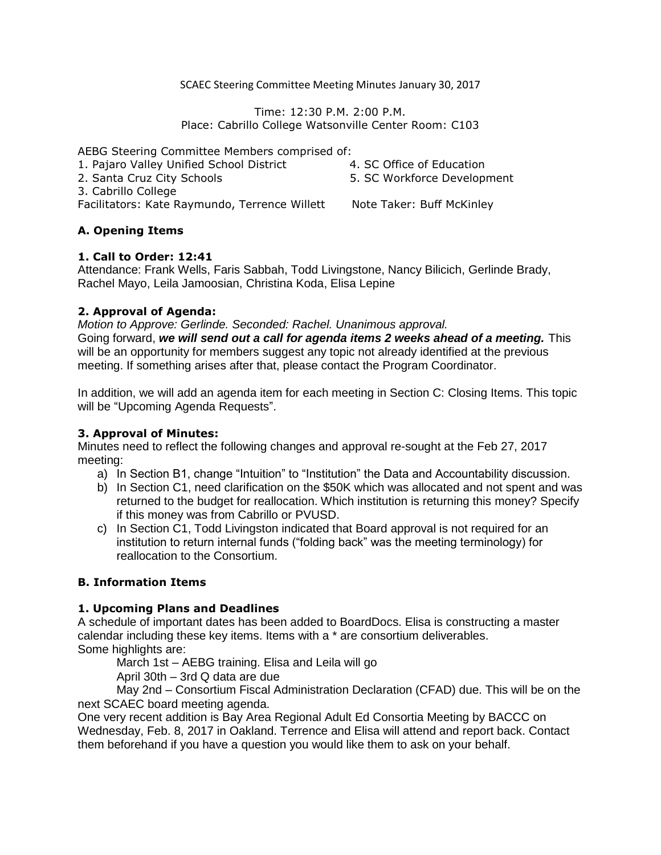SCAEC Steering Committee Meeting Minutes January 30, 2017

Time: 12:30 P.M. 2:00 P.M. Place: Cabrillo College Watsonville Center Room: C103

AEBG Steering Committee Members comprised of:

- 1. Pajaro Valley Unified School District
- 4. SC Office of Education

2. Santa Cruz City Schools

3. Cabrillo College

Facilitators: Kate Raymundo, Terrence Willett Note Taker: Buff McKinley

5. SC Workforce Development

### **A. Opening Items**

### **1. Call to Order: 12:41**

Attendance: Frank Wells, Faris Sabbah, Todd Livingstone, Nancy Bilicich, Gerlinde Brady, Rachel Mayo, Leila Jamoosian, Christina Koda, Elisa Lepine

# **2. Approval of Agenda:**

*Motion to Approve: Gerlinde. Seconded: Rachel. Unanimous approval.* Going forward, *we will send out a call for agenda items 2 weeks ahead of a meeting.* This will be an opportunity for members suggest any topic not already identified at the previous meeting. If something arises after that, please contact the Program Coordinator.

In addition, we will add an agenda item for each meeting in Section C: Closing Items. This topic will be "Upcoming Agenda Requests".

## **3. Approval of Minutes:**

Minutes need to reflect the following changes and approval re-sought at the Feb 27, 2017 meeting:

- a) In Section B1, change "Intuition" to "Institution" the Data and Accountability discussion.
- b) In Section C1, need clarification on the \$50K which was allocated and not spent and was returned to the budget for reallocation. Which institution is returning this money? Specify if this money was from Cabrillo or PVUSD.
- c) In Section C1, Todd Livingston indicated that Board approval is not required for an institution to return internal funds ("folding back" was the meeting terminology) for reallocation to the Consortium.

### **B. Information Items**

### **1. Upcoming Plans and Deadlines**

A schedule of important dates has been added to BoardDocs. Elisa is constructing a master calendar including these key items. Items with a \* are consortium deliverables. Some highlights are:

March 1st – AEBG training. Elisa and Leila will go

April 30th – 3rd Q data are due

May 2nd – Consortium Fiscal Administration Declaration (CFAD) due. This will be on the next SCAEC board meeting agenda.

One very recent addition is Bay Area Regional Adult Ed Consortia Meeting by BACCC on Wednesday, Feb. 8, 2017 in Oakland. Terrence and Elisa will attend and report back. Contact them beforehand if you have a question you would like them to ask on your behalf.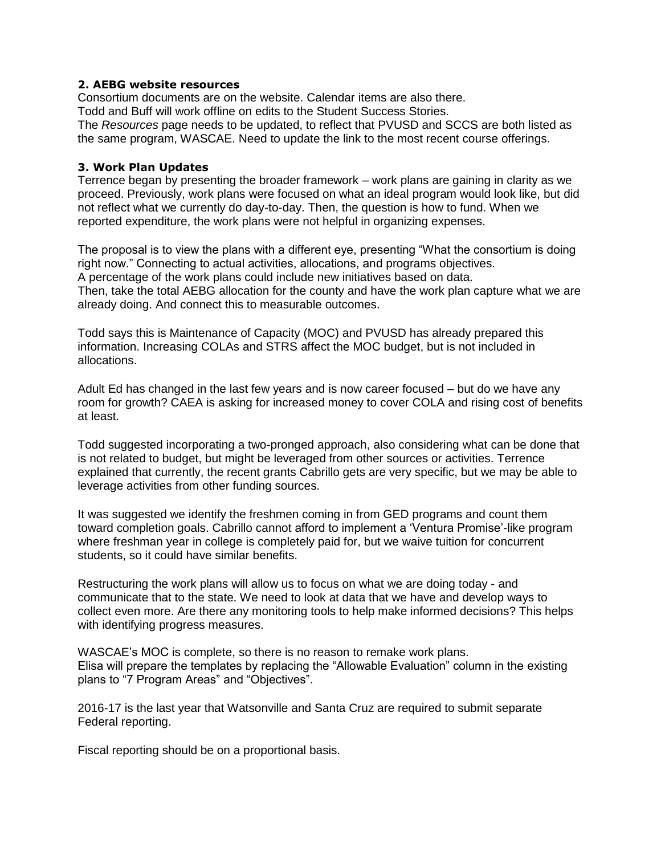#### **2. AEBG website resources**

Consortium documents are on the website. Calendar items are also there. Todd and Buff will work offline on edits to the Student Success Stories. The *Resources* page needs to be updated, to reflect that PVUSD and SCCS are both listed as the same program, WASCAE. Need to update the link to the most recent course offerings.

#### **3. Work Plan Updates**

Terrence began by presenting the broader framework – work plans are gaining in clarity as we proceed. Previously, work plans were focused on what an ideal program would look like, but did not reflect what we currently do day-to-day. Then, the question is how to fund. When we reported expenditure, the work plans were not helpful in organizing expenses.

The proposal is to view the plans with a different eye, presenting "What the consortium is doing right now." Connecting to actual activities, allocations, and programs objectives. A percentage of the work plans could include new initiatives based on data. Then, take the total AEBG allocation for the county and have the work plan capture what we are already doing. And connect this to measurable outcomes.

Todd says this is Maintenance of Capacity (MOC) and PVUSD has already prepared this information. Increasing COLAs and STRS affect the MOC budget, but is not included in allocations.

Adult Ed has changed in the last few years and is now career focused – but do we have any room for growth? CAEA is asking for increased money to cover COLA and rising cost of benefits at least.

Todd suggested incorporating a two-pronged approach, also considering what can be done that is not related to budget, but might be leveraged from other sources or activities. Terrence explained that currently, the recent grants Cabrillo gets are very specific, but we may be able to leverage activities from other funding sources.

It was suggested we identify the freshmen coming in from GED programs and count them toward completion goals. Cabrillo cannot afford to implement a 'Ventura Promise'-like program where freshman year in college is completely paid for, but we waive tuition for concurrent students, so it could have similar benefits.

Restructuring the work plans will allow us to focus on what we are doing today - and communicate that to the state. We need to look at data that we have and develop ways to collect even more. Are there any monitoring tools to help make informed decisions? This helps with identifying progress measures.

WASCAE's MOC is complete, so there is no reason to remake work plans. Elisa will prepare the templates by replacing the "Allowable Evaluation" column in the existing plans to "7 Program Areas" and "Objectives".

2016-17 is the last year that Watsonville and Santa Cruz are required to submit separate Federal reporting.

Fiscal reporting should be on a proportional basis.